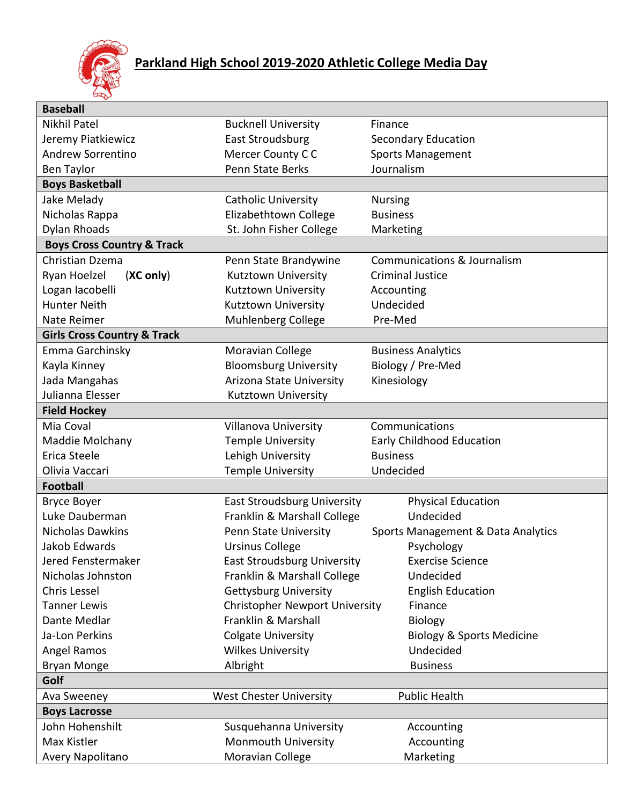

| <b>Baseball</b>                        |                                       |                                        |
|----------------------------------------|---------------------------------------|----------------------------------------|
| Nikhil Patel                           | <b>Bucknell University</b>            | Finance                                |
| Jeremy Piatkiewicz                     | East Stroudsburg                      | <b>Secondary Education</b>             |
| <b>Andrew Sorrentino</b>               | Mercer County CC                      | <b>Sports Management</b>               |
| Ben Taylor                             | <b>Penn State Berks</b>               | Journalism                             |
| <b>Boys Basketball</b>                 |                                       |                                        |
| Jake Melady                            | <b>Catholic University</b>            | <b>Nursing</b>                         |
| Nicholas Rappa                         | Elizabethtown College                 | <b>Business</b>                        |
| Dylan Rhoads                           | St. John Fisher College               | Marketing                              |
| <b>Boys Cross Country &amp; Track</b>  |                                       |                                        |
| Christian Dzema                        | Penn State Brandywine                 | <b>Communications &amp; Journalism</b> |
| Ryan Hoelzel<br>(XC only)              | Kutztown University                   | <b>Criminal Justice</b>                |
| Logan Iacobelli                        | Kutztown University                   | Accounting                             |
| <b>Hunter Neith</b>                    | Kutztown University                   | Undecided                              |
| Nate Reimer                            | Muhlenberg College                    | Pre-Med                                |
| <b>Girls Cross Country &amp; Track</b> |                                       |                                        |
| Emma Garchinsky                        | Moravian College                      | <b>Business Analytics</b>              |
| Kayla Kinney                           | <b>Bloomsburg University</b>          | Biology / Pre-Med                      |
| Jada Mangahas                          | Arizona State University              | Kinesiology                            |
| Julianna Elesser                       | Kutztown University                   |                                        |
| <b>Field Hockey</b>                    |                                       |                                        |
| Mia Coval                              | <b>Villanova University</b>           | Communications                         |
| Maddie Molchany                        | <b>Temple University</b>              | Early Childhood Education              |
| Erica Steele                           | Lehigh University                     | <b>Business</b>                        |
| Olivia Vaccari                         | <b>Temple University</b>              | Undecided                              |
| <b>Football</b>                        |                                       |                                        |
| <b>Bryce Boyer</b>                     | East Stroudsburg University           | <b>Physical Education</b>              |
| Luke Dauberman                         | Franklin & Marshall College           | Undecided                              |
| <b>Nicholas Dawkins</b>                | Penn State University                 | Sports Management & Data Analytics     |
| Jakob Edwards                          | <b>Ursinus College</b>                | Psychology                             |
| Jered Fenstermaker                     | <b>East Stroudsburg University</b>    | <b>Exercise Science</b>                |
| Nicholas Johnston                      | Franklin & Marshall College           | Undecided                              |
| Chris Lessel                           | <b>Gettysburg University</b>          | <b>English Education</b>               |
| <b>Tanner Lewis</b>                    | <b>Christopher Newport University</b> | Finance                                |
| Dante Medlar                           | Franklin & Marshall                   | <b>Biology</b>                         |
| Ja-Lon Perkins                         | <b>Colgate University</b>             | <b>Biology &amp; Sports Medicine</b>   |
| Angel Ramos                            | <b>Wilkes University</b>              | Undecided                              |
| <b>Bryan Monge</b>                     | Albright                              | <b>Business</b>                        |
| Golf                                   |                                       |                                        |
| Ava Sweeney                            | <b>West Chester University</b>        | <b>Public Health</b>                   |
| <b>Boys Lacrosse</b>                   |                                       |                                        |
| John Hohenshilt                        | Susquehanna University                | Accounting                             |
| Max Kistler                            | Monmouth University                   | Accounting                             |
| Avery Napolitano                       | Moravian College                      | Marketing                              |